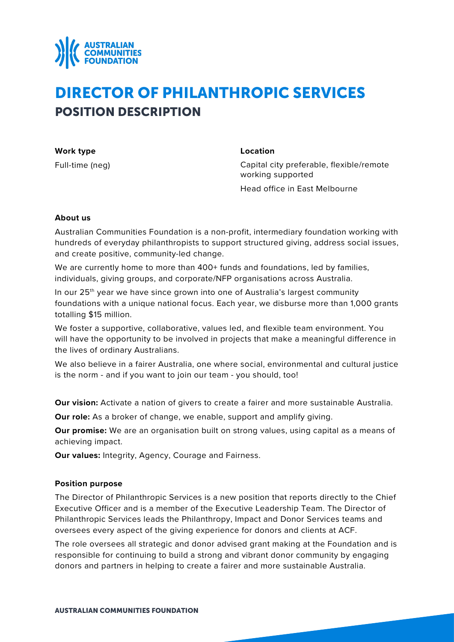

# DIRECTOR OF PHILANTHROPIC SERVICES POSITION DESCRIPTION

**Work type** Full-time (neg) **Location**

Capital city preferable, flexible/remote working supported

Head office in East Melbourne

# **About us**

Australian Communities Foundation is a non-profit, intermediary foundation working with hundreds of everyday philanthropists to support structured giving, address social issues, and create positive, community-led change.

We are currently home to more than 400+ funds and foundations, led by families, individuals, giving groups, and corporate/NFP organisations across Australia.

In our 25<sup>th</sup> year we have since grown into one of Australia's largest community foundations with a unique national focus. Each year, we disburse more than 1,000 grants totalling \$15 million.

We foster a supportive, collaborative, values led, and flexible team environment. You will have the opportunity to be involved in projects that make a meaningful difference in the lives of ordinary Australians.

We also believe in a fairer Australia, one where social, environmental and cultural justice is the norm - and if you want to join our team - you should, too!

**Our vision:** Activate a nation of givers to create a fairer and more sustainable Australia.

**Our role:** As a broker of change, we enable, support and amplify giving.

**Our promise:** We are an organisation built on strong values, using capital as a means of achieving impact.

**Our values:** Integrity, Agency, Courage and Fairness.

# **Position purpose**

The Director of Philanthropic Services is a new position that reports directly to the Chief Executive Officer and is a member of the Executive Leadership Team. The Director of Philanthropic Services leads the Philanthropy, Impact and Donor Services teams and oversees every aspect of the giving experience for donors and clients at ACF.

The role oversees all strategic and donor advised grant making at the Foundation and is responsible for continuing to build a strong and vibrant donor community by engaging donors and partners in helping to create a fairer and more sustainable Australia.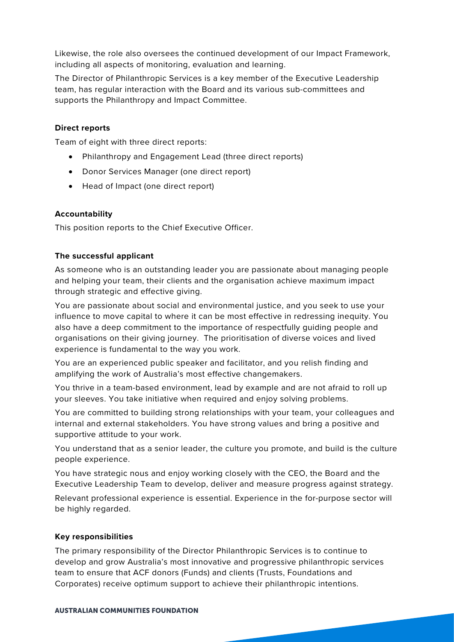Likewise, the role also oversees the continued development of our Impact Framework, including all aspects of monitoring, evaluation and learning.

The Director of Philanthropic Services is a key member of the Executive Leadership team, has regular interaction with the Board and its various sub-committees and supports the Philanthropy and Impact Committee.

# **Direct reports**

Team of eight with three direct reports:

- Philanthropy and Engagement Lead (three direct reports)
- Donor Services Manager (one direct report)
- Head of Impact (one direct report)

# **Accountability**

This position reports to the Chief Executive Officer.

# **The successful applicant**

As someone who is an outstanding leader you are passionate about managing people and helping your team, their clients and the organisation achieve maximum impact through strategic and effective giving.

You are passionate about social and environmental justice, and you seek to use your influence to move capital to where it can be most effective in redressing inequity. You also have a deep commitment to the importance of respectfully guiding people and organisations on their giving journey. The prioritisation of diverse voices and lived experience is fundamental to the way you work.

You are an experienced public speaker and facilitator, and you relish finding and amplifying the work of Australia's most effective changemakers.

You thrive in a team-based environment, lead by example and are not afraid to roll up your sleeves. You take initiative when required and enjoy solving problems.

You are committed to building strong relationships with your team, your colleagues and internal and external stakeholders. You have strong values and bring a positive and supportive attitude to your work.

You understand that as a senior leader, the culture you promote, and build is the culture people experience.

You have strategic nous and enjoy working closely with the CEO, the Board and the Executive Leadership Team to develop, deliver and measure progress against strategy.

Relevant professional experience is essential. Experience in the for-purpose sector will be highly regarded.

### **Key responsibilities**

The primary responsibility of the Director Philanthropic Services is to continue to develop and grow Australia's most innovative and progressive philanthropic services team to ensure that ACF donors (Funds) and clients (Trusts, Foundations and Corporates) receive optimum support to achieve their philanthropic intentions.

#### AUSTRALIAN COMMUNITIES FOUNDATION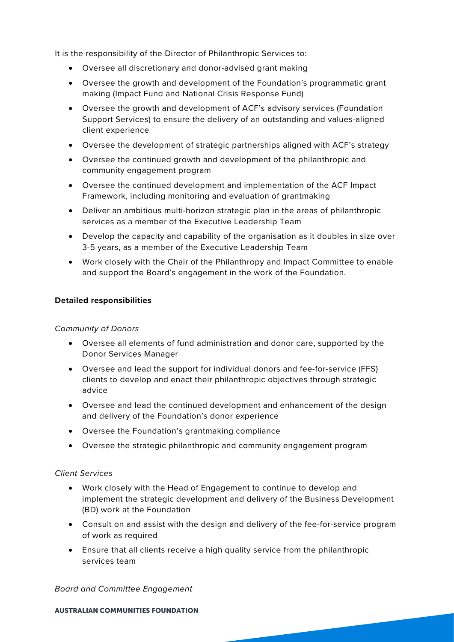It is the responsibility of the Director of Philanthropic Services to:

- Oversee all discretionary and donor-advised grant making
- Oversee the growth and development of the Foundation's programmatic grant making (Impact Fund and National Crisis Response Fund)
- Oversee the growth and development of ACF's advisory services (Foundation Support Services) to ensure the delivery of an outstanding and values-aligned client experience
- Oversee the development of strategic partnerships aligned with ACF's strategy
- Oversee the continued growth and development of the philanthropic and community engagement program
- Oversee the continued development and implementation of the ACF Impact Framework, including monitoring and evaluation of grantmaking
- Deliver an ambitious multi-horizon strategic plan in the areas of philanthropic services as a member of the Executive Leadership Team
- Develop the capacity and capability of the organisation as it doubles in size over 3-5 years, as a member of the Executive Leadership Team
- Work closely with the Chair of the Philanthropy and Impact Committee to enable and support the Board's engagement in the work of the Foundation.

# **Detailed responsibilities**

### *Community of Donors*

- Oversee all elements of fund administration and donor care, supported by the Donor Services Manager
- Oversee and lead the support for individual donors and fee-for-service (FFS) clients to develop and enact their philanthropic objectives through strategic advice
- Oversee and lead the continued development and enhancement of the design and delivery of the Foundation's donor experience
- Oversee the Foundation's grantmaking compliance
- Oversee the strategic philanthropic and community engagement program

# *Client Services*

- Work closely with the Head of Engagement to continue to develop and implement the strategic development and delivery of the Business Development (BD) work at the Foundation
- Consult on and assist with the design and delivery of the fee-for-service program of work as required
- Ensure that all clients receive a high quality service from the philanthropic services team

*Board and Committee Engagement* 

#### AUSTRALIAN COMMUNITIES FOUNDATION